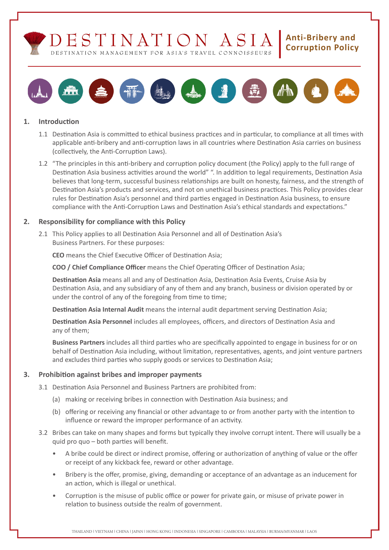



## **1. Introduction**

- 1.1 Destination Asia is committed to ethical business practices and in particular, to compliance at all times with applicable anti-bribery and anti-corruption laws in all countries where Destination Asia carries on business (collectively, the Anti-Corruption Laws).
- 1.2 "The principles in this anti-bribery and corruption policy document (the Policy) apply to the full range of Destination Asia business activities around the world" ". In addition to legal requirements, Destination Asia believes that long-term, successful business relationships are built on honesty, fairness, and the strength of Destination Asia's products and services, and not on unethical business practices. This Policy provides clear rules for Destination Asia's personnel and third parties engaged in Destination Asia business, to ensure compliance with the Anti-Corruption Laws and Destination Asia's ethical standards and expectations."

## **2. Responsibility for compliance with this Policy**

2.1 This Policy applies to all Destination Asia Personnel and all of Destination Asia's Business Partners. For these purposes:

**CEO** means the Chief Executive Officer of Destination Asia;

**COO / Chief Compliance Officer** means the Chief Operating Officer of Destination Asia;

 **Destination Asia** means all and any of Destination Asia, Destination Asia Events, Cruise Asia by Destination Asia, and any subsidiary of any of them and any branch, business or division operated by or under the control of any of the foregoing from time to time;

**Destination Asia Internal Audit** means the internal audit department serving Destination Asia;

 **Destination Asia Personnel** includes all employees, officers, and directors of Destination Asia and any of them;

 **Business Partners** includes all third parties who are specifically appointed to engage in business for or on behalf of Destination Asia including, without limitation, representatives, agents, and joint venture partners and excludes third parties who supply goods or services to Destination Asia;

# **3. Prohibition against bribes and improper payments**

- 3.1 Destination Asia Personnel and Business Partners are prohibited from:
	- (a) making or receiving bribes in connection with Destination Asia business; and
	- (b) offering or receiving any financial or other advantage to or from another party with the intention to influence or reward the improper performance of an activity.
- 3.2 Bribes can take on many shapes and forms but typically they involve corrupt intent. There will usually be a quid pro quo – both parties will benefit.
	- A bribe could be direct or indirect promise, offering or authorization of anything of value or the offer or receipt of any kickback fee, reward or other advantage.
	- Bribery is the offer, promise, giving, demanding or acceptance of an advantage as an inducement for an action, which is illegal or unethical.
	- Corruption is the misuse of public office or power for private gain, or misuse of private power in relation to business outside the realm of government.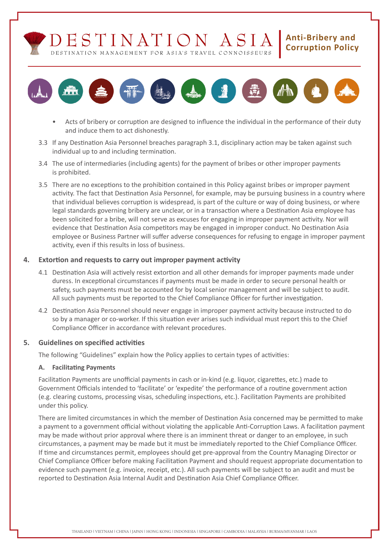DESTINATION MANAGEMENT FOR ASIA'S TRAVEL CONNOISSEURS

# **Anti-Bribery and Corruption Policy**



- Acts of bribery or corruption are designed to influence the individual in the performance of their duty and induce them to act dishonestly.
- 3.3 If any Destination Asia Personnel breaches paragraph 3.1, disciplinary action may be taken against such individual up to and including termination.
- 3.4 The use of intermediaries (including agents) for the payment of bribes or other improper payments is prohibited.
- 3.5 There are no exceptions to the prohibition contained in this Policy against bribes or improper payment activity. The fact that Destination Asia Personnel, for example, may be pursuing business in a country where that individual believes corruption is widespread, is part of the culture or way of doing business, or where legal standards governing bribery are unclear, or in a transaction where a Destination Asia employee has been solicited for a bribe, will not serve as excuses for engaging in improper payment activity. Nor will evidence that Destination Asia competitors may be engaged in improper conduct. No Destination Asia employee or Business Partner will suffer adverse consequences for refusing to engage in improper payment activity, even if this results in loss of business.

# **4. Extortion and requests to carry out improper payment activity**

- 4.1 Destination Asia will actively resist extortion and all other demands for improper payments made under duress. In exceptional circumstances if payments must be made in order to secure personal health or safety, such payments must be accounted for by local senior management and will be subject to audit. All such payments must be reported to the Chief Compliance Officer for further investigation.
- 4.2 Destination Asia Personnel should never engage in improper payment activity because instructed to do so by a manager or co-worker. If this situation ever arises such individual must report this to the Chief Compliance Officer in accordance with relevant procedures.

# **5. Guidelines on specified activities**

 The following "Guidelines" explain how the Policy applies to certain types of activities:

# **A. Facilitating Payments**

 Facilitation Payments are unofficial payments in cash or in-kind (e.g. liquor, cigarettes, etc.) made to Government Officials intended to 'facilitate' or 'expedite' the performance of a routine government action (e.g. clearing customs, processing visas, scheduling inspections, etc.). Facilitation Payments are prohibited under this policy.

 There are limited circumstances in which the member of Destination Asia concerned may be permitted to make a payment to a government official without violating the applicable Anti-Corruption Laws. A facilitation payment may be made without prior approval where there is an imminent threat or danger to an employee, in such circumstances, a payment may be made but it must be immediately reported to the Chief Compliance Officer. If time and circumstances permit, employees should get pre-approval from the Country Managing Director or Chief Compliance Officer before making Facilitation Payment and should request appropriate documentation to evidence such payment (e.g. invoice, receipt, etc.). All such payments will be subject to an audit and must be reported to Destination Asia Internal Audit and Destination Asia Chief Compliance Officer.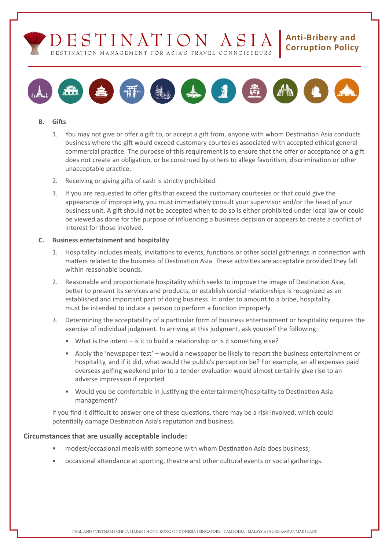



#### **B. Gifts**

- 1. You may not give or offer a gift to, or accept a gift from, anyone with whom Destination Asia conducts business where the gift would exceed customary courtesies associated with accepted ethical general commercial practice. The purpose of this requirement is to ensure that the offer or acceptance of a gift does not create an obligation, or be construed by others to allege favoritism, discrimination or other unacceptable practice.
- 2. Receiving or giving gifts of cash is strictly prohibited.
- 3. If you are requested to offer gifts that exceed the customary courtesies or that could give the appearance of impropriety, you must immediately consult your supervisor and/or the head of your business unit. A gift should not be accepted when to do so is either prohibited under local law or could be viewed as done for the purpose of influencing a business decision or appears to create a conflict of interest for those involved.

#### **C. Business entertainment and hospitality**

- 1. Hospitality includes meals, invitations to events, functions or other social gatherings in connection with matters related to the business of Destination Asia. These activities are acceptable provided they fall within reasonable bounds.
- 2. Reasonable and proportionate hospitality which seeks to improve the image of Destination Asia, better to present its services and products, or establish cordial relationships is recognized as an established and important part of doing business. In order to amount to a bribe, hospitality must be intended to induce a person to perform a function improperly.
- 3. Determining the acceptability of a particular form of business entertainment or hospitality requires the exercise of individual judgment. In arriving at this judgment, ask yourself the following:
	- What is the intent is it to build a relationship or is it something else?
	- • Apply the 'newspaper test' would a newspaper be likely to report the business entertainment or hospitality, and if it did, what would the public's perception be? For example, an all expenses paid overseas golfing weekend prior to a tender evaluation would almost certainly give rise to an adverse impression if reported.
	- Would you be comfortable in justifying the entertainment/hospitality to Destination Asia management?

 If you find it difficult to answer one of these questions, there may be a risk involved, which could potentially damage Destination Asia's reputation and business.

## **Circumstances that are usually acceptable include:**

- modest/occasional meals with someone with whom Destination Asia does business;
- occasional attendance at sporting, theatre and other cultural events or social gatherings.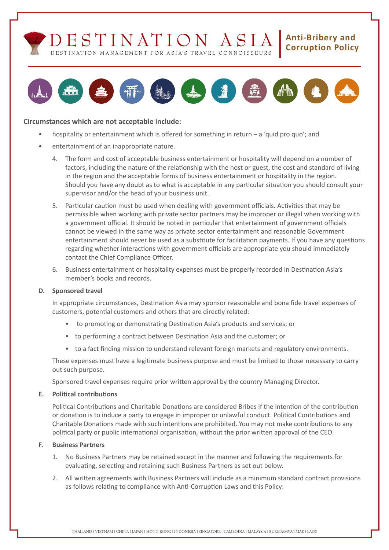



## **Circumstances which are not acceptable include:**

- hospitality or entertainment which is offered for something in return  $-$  a 'quid pro quo'; and
- entertainment of an inappropriate nature.
	- 4. The form and cost of acceptable business entertainment or hospitality will depend on a number of factors, including the nature of the relationship with the host or guest, the cost and standard of living in the region and the acceptable forms of business entertainment or hospitality in the region. Should you have any doubt as to what is acceptable in any particular situation you should consult your supervisor and/or the head of your business unit.
	- 5. Particular caution must be used when dealing with government officials. Activities that may be permissible when working with private sector partners may be improper or illegal when working with a government official. It should be noted in particular that entertainment of government officials cannot be viewed in the same way as private sector entertainment and reasonable Government entertainment should never be used as a substitute for facilitation payments. If you have any questions regarding whether interactions with government officials are appropriate you should immediately contact the Chief Compliance Officer.
	- 6. Business entertainment or hospitality expenses must be properly recorded in Destination Asia's member's books and records.

## **D. Sponsored travel**

 In appropriate circumstances, Destination Asia may sponsor reasonable and bona fide travel expenses of customers, potential customers and others that are directly related:

- • to promoting or demonstrating Destination Asia's products and services; or
- to performing a contract between Destination Asia and the customer; or
- to a fact finding mission to understand relevant foreign markets and regulatory environments.

These expenses must have a legitimate business purpose and must be limited to those necessary to carry out such purpose.

 Sponsored travel expenses require prior written approval by the country Managing Director.

## **E. Political contributions**

 Political Contributions and Charitable Donations are considered Bribes if the intention of the contribution or donation is to induce a party to engage in improper or unlawful conduct. Political Contributions and Charitable Donations made with such intentions are prohibited. You may not make contributions to any political party or public international organisation, without the prior written approval of the CEO.

## **F. Business Partners**

- 1. No Business Partners may be retained except in the manner and following the requirements for evaluating, selecting and retaining such Business Partners as set out below.
- 2. All written agreements with Business Partners will include as a minimum standard contract provisions as follows relating to compliance with Anti-Corruption Laws and this Policy: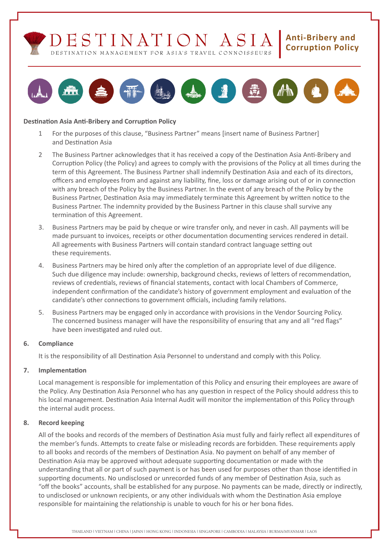



## **Destination Asia Anti-Bribery and Corruption Policy**

- 1 For the purposes of this clause, "Business Partner" means [insert name of Business Partner] and Destination Asia
- 2 The Business Partner acknowledges that it has received a copy of the Destination Asia Anti-Bribery and Corruption Policy (the Policy) and agrees to comply with the provisions of the Policy at all times during the term of this Agreement. The Business Partner shall indemnify Destination Asia and each of its directors, officers and employees from and against any liability, fine, loss or damage arising out of or in connection with any breach of the Policy by the Business Partner. In the event of any breach of the Policy by the Business Partner, Destination Asia may immediately terminate this Agreement by written notice to the Business Partner. The indemnity provided by the Business Partner in this clause shall survive any termination of this Agreement.
- 3. Business Partners may be paid by cheque or wire transfer only, and never in cash. All payments will be made pursuant to invoices, receipts or other documentation documenting services rendered in detail. All agreements with Business Partners will contain standard contract language setting out these requirements.
- 4. Business Partners may be hired only after the completion of an appropriate level of due diligence. Such due diligence may include: ownership, background checks, reviews of letters of recommendation, reviews of credentials, reviews of financial statements, contact with local Chambers of Commerce, independent confirmation of the candidate's history of government employment and evaluation of the candidate's other connections to government officials, including family relations.
- 5. Business Partners may be engaged only in accordance with provisions in the Vendor Sourcing Policy. The concerned business manager will have the responsibility of ensuring that any and all "red flags" have been investigated and ruled out.

## **6. Compliance**

 It is the responsibility of all Destination Asia Personnel to understand and comply with this Policy.

# **7. Implementation**

 Local management is responsible for implementation of this Policy and ensuring their employees are aware of the Policy. Any Destination Asia Personnel who has any question in respect of the Policy should address this to his local management. Destination Asia Internal Audit will monitor the implementation of this Policy through the internal audit process.

## **8. Record keeping**

 All of the books and records of the members of Destination Asia must fully and fairly reflect all expenditures of the member's funds. Attempts to create false or misleading records are forbidden. These requirements apply to all books and records of the members of Destination Asia. No payment on behalf of any member of Destination Asia may be approved without adequate supporting documentation or made with the understanding that all or part of such payment is or has been used for purposes other than those identified in supporting documents. No undisclosed or unrecorded funds of any member of Destination Asia, such as "off the books" accounts, shall be established for any purpose. No payments can be made, directly or indirectly, to undisclosed or unknown recipients, or any other individuals with whom the Destination Asia employe responsible for maintaining the relationship is unable to vouch for his or her bona fides.